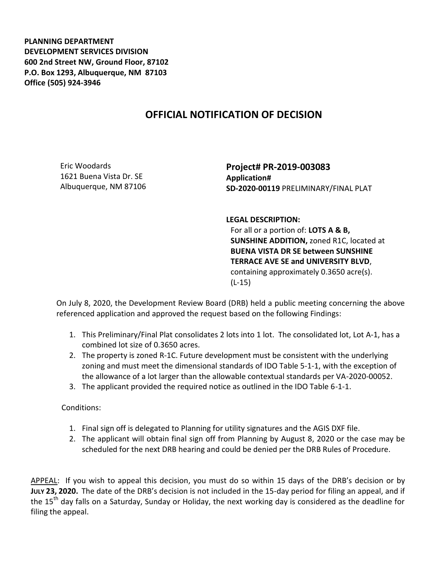**PLANNING DEPARTMENT DEVELOPMENT SERVICES DIVISION 600 2nd Street NW, Ground Floor, 87102 P.O. Box 1293, Albuquerque, NM 87103 Office (505) 924-3946** 

## **OFFICIAL NOTIFICATION OF DECISION**

Eric Woodards 1621 Buena Vista Dr. SE Albuquerque, NM 87106

**Project# PR-2019-003083 Application# SD-2020-00119** PRELIMINARY/FINAL PLAT

**LEGAL DESCRIPTION:**

For all or a portion of: **LOTS A & B, SUNSHINE ADDITION,** zoned R1C, located at **BUENA VISTA DR SE between SUNSHINE TERRACE AVE SE and UNIVERSITY BLVD**, containing approximately 0.3650 acre(s). (L-15)

On July 8, 2020, the Development Review Board (DRB) held a public meeting concerning the above referenced application and approved the request based on the following Findings:

- 1. This Preliminary/Final Plat consolidates 2 lots into 1 lot. The consolidated lot, Lot A-1, has a combined lot size of 0.3650 acres.
- 2. The property is zoned R-1C. Future development must be consistent with the underlying zoning and must meet the dimensional standards of IDO Table 5-1-1, with the exception of the allowance of a lot larger than the allowable contextual standards per VA-2020-00052.
- 3. The applicant provided the required notice as outlined in the IDO Table 6-1-1.

Conditions:

- 1. Final sign off is delegated to Planning for utility signatures and the AGIS DXF file.
- 2. The applicant will obtain final sign off from Planning by August 8, 2020 or the case may be scheduled for the next DRB hearing and could be denied per the DRB Rules of Procedure.

APPEAL: If you wish to appeal this decision, you must do so within 15 days of the DRB's decision or by **JULY 23, 2020.** The date of the DRB's decision is not included in the 15-day period for filing an appeal, and if the 15<sup>th</sup> day falls on a Saturday, Sunday or Holiday, the next working day is considered as the deadline for filing the appeal.